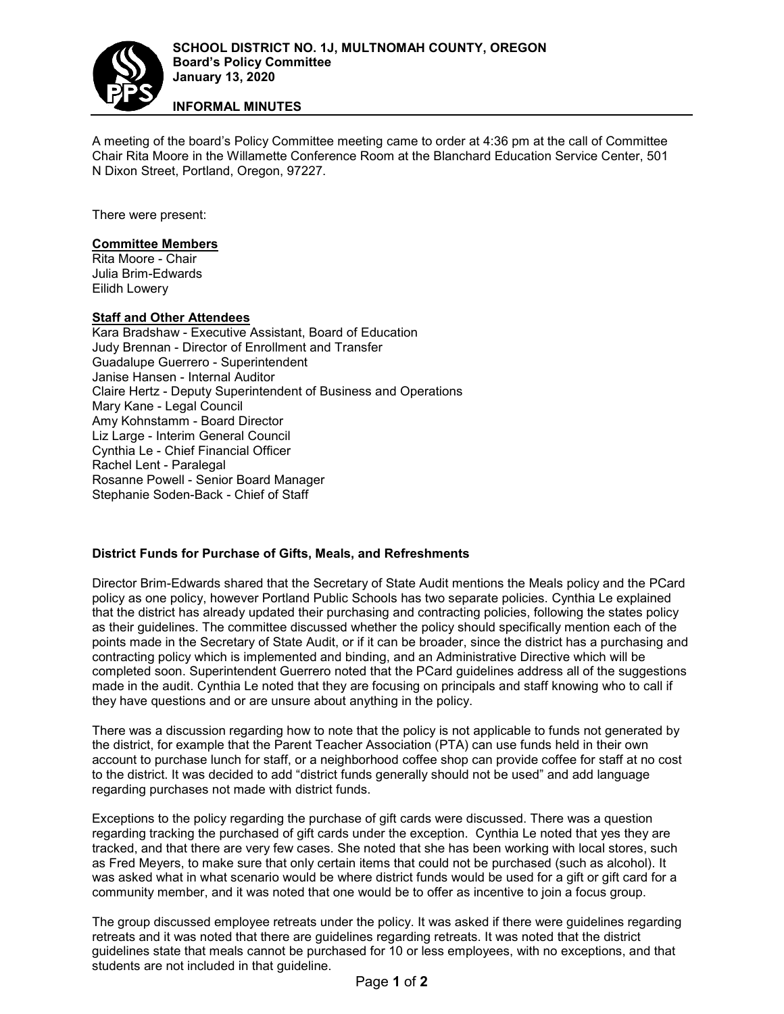

**INFORMAL MINUTES**

A meeting of the board's Policy Committee meeting came to order at 4:36 pm at the call of Committee Chair Rita Moore in the Willamette Conference Room at the Blanchard Education Service Center, 501 N Dixon Street, Portland, Oregon, 97227.

There were present:

### **Committee Members**

Rita Moore - Chair Julia Brim-Edwards Eilidh Lowery

### **Staff and Other Attendees**

Kara Bradshaw - Executive Assistant, Board of Education Judy Brennan - Director of Enrollment and Transfer Guadalupe Guerrero - Superintendent Janise Hansen - Internal Auditor Claire Hertz - Deputy Superintendent of Business and Operations Mary Kane - Legal Council Amy Kohnstamm - Board Director Liz Large - Interim General Council Cynthia Le - Chief Financial Officer Rachel Lent - Paralegal Rosanne Powell - Senior Board Manager Stephanie Soden-Back - Chief of Staff

### **District Funds for Purchase of Gifts, Meals, and Refreshments**

Director Brim-Edwards shared that the Secretary of State Audit mentions the Meals policy and the PCard policy as one policy, however Portland Public Schools has two separate policies. Cynthia Le explained that the district has already updated their purchasing and contracting policies, following the states policy as their guidelines. The committee discussed whether the policy should specifically mention each of the points made in the Secretary of State Audit, or if it can be broader, since the district has a purchasing and contracting policy which is implemented and binding, and an Administrative Directive which will be completed soon. Superintendent Guerrero noted that the PCard guidelines address all of the suggestions made in the audit. Cynthia Le noted that they are focusing on principals and staff knowing who to call if they have questions and or are unsure about anything in the policy.

There was a discussion regarding how to note that the policy is not applicable to funds not generated by the district, for example that the Parent Teacher Association (PTA) can use funds held in their own account to purchase lunch for staff, or a neighborhood coffee shop can provide coffee for staff at no cost to the district. It was decided to add "district funds generally should not be used" and add language regarding purchases not made with district funds.

Exceptions to the policy regarding the purchase of gift cards were discussed. There was a question regarding tracking the purchased of gift cards under the exception. Cynthia Le noted that yes they are tracked, and that there are very few cases. She noted that she has been working with local stores, such as Fred Meyers, to make sure that only certain items that could not be purchased (such as alcohol). It was asked what in what scenario would be where district funds would be used for a gift or gift card for a community member, and it was noted that one would be to offer as incentive to join a focus group.

The group discussed employee retreats under the policy. It was asked if there were guidelines regarding retreats and it was noted that there are guidelines regarding retreats. It was noted that the district guidelines state that meals cannot be purchased for 10 or less employees, with no exceptions, and that students are not included in that guideline.